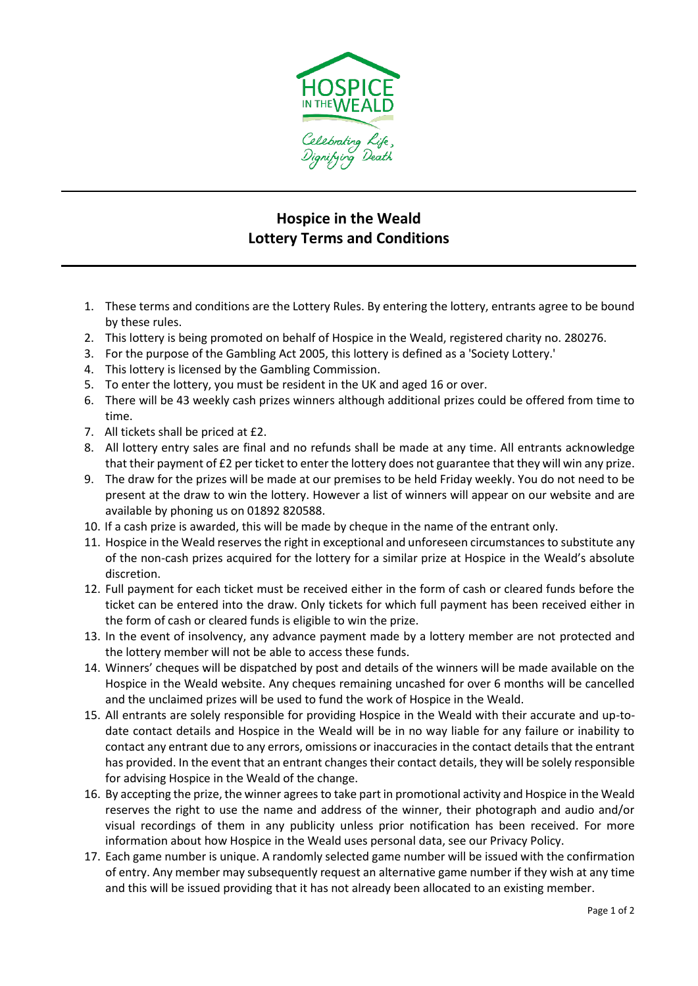

## **Hospice in the Weald Lottery Terms and Conditions**

- 1. These terms and conditions are the Lottery Rules. By entering the lottery, entrants agree to be bound by these rules.
- 2. This lottery is being promoted on behalf of Hospice in the Weald, registered charity no. 280276.
- 3. For the purpose of the Gambling Act 2005, this lottery is defined as a 'Society Lottery.'
- 4. This lottery is licensed by the Gambling Commission.
- 5. To enter the lottery, you must be resident in the UK and aged 16 or over.
- 6. There will be 43 weekly cash prizes winners although additional prizes could be offered from time to time.
- 7. All tickets shall be priced at £2.
- 8. All lottery entry sales are final and no refunds shall be made at any time. All entrants acknowledge that their payment of £2 per ticket to enter the lottery does not guarantee that they will win any prize.
- 9. The draw for the prizes will be made at our premises to be held Friday weekly. You do not need to be present at the draw to win the lottery. However a list of winners will appear on our website and are available by phoning us on 01892 820588.
- 10. If a cash prize is awarded, this will be made by cheque in the name of the entrant only.
- 11. Hospice in the Weald reserves the right in exceptional and unforeseen circumstances to substitute any of the non-cash prizes acquired for the lottery for a similar prize at Hospice in the Weald's absolute discretion.
- 12. Full payment for each ticket must be received either in the form of cash or cleared funds before the ticket can be entered into the draw. Only tickets for which full payment has been received either in the form of cash or cleared funds is eligible to win the prize.
- 13. In the event of insolvency, any advance payment made by a lottery member are not protected and the lottery member will not be able to access these funds.
- 14. Winners' cheques will be dispatched by post and details of the winners will be made available on the Hospice in the Weald website. Any cheques remaining uncashed for over 6 months will be cancelled and the unclaimed prizes will be used to fund the work of Hospice in the Weald.
- 15. All entrants are solely responsible for providing Hospice in the Weald with their accurate and up-todate contact details and Hospice in the Weald will be in no way liable for any failure or inability to contact any entrant due to any errors, omissions or inaccuracies in the contact details that the entrant has provided. In the event that an entrant changes their contact details, they will be solely responsible for advising Hospice in the Weald of the change.
- 16. By accepting the prize, the winner agrees to take part in promotional activity and Hospice in the Weald reserves the right to use the name and address of the winner, their photograph and audio and/or visual recordings of them in any publicity unless prior notification has been received. For more information about how Hospice in the Weald uses personal data, see our Privacy Policy.
- 17. Each game number is unique. A randomly selected game number will be issued with the confirmation of entry. Any member may subsequently request an alternative game number if they wish at any time and this will be issued providing that it has not already been allocated to an existing member.